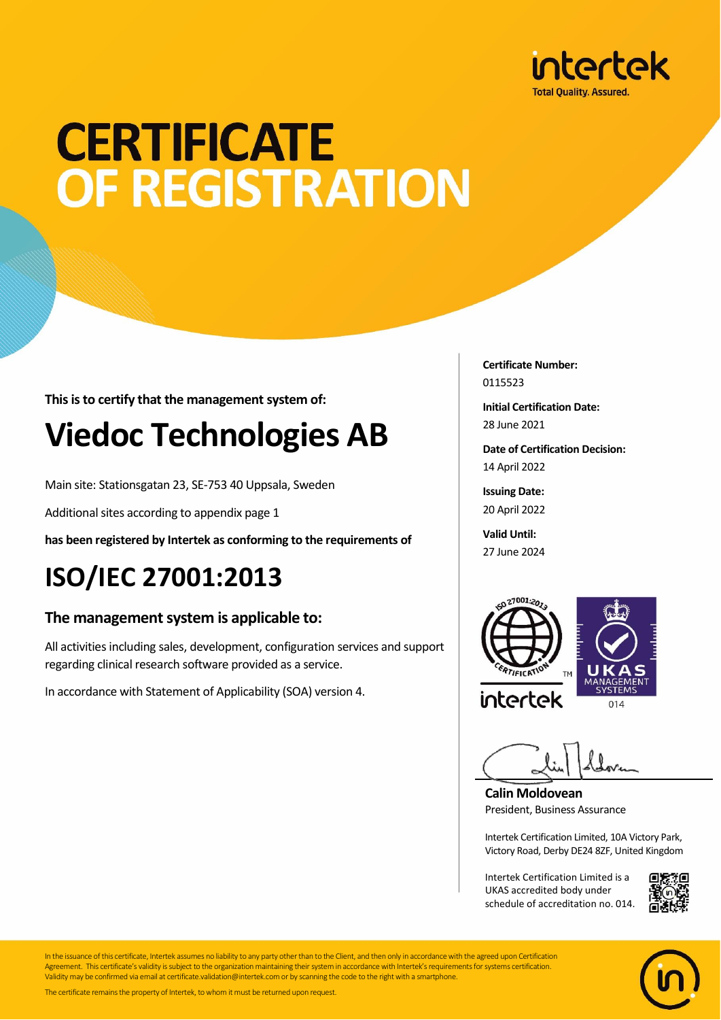

## **CERTIFICATE** OF REGISTRATION

**This is to certify that the management system of:**

### **Viedoc Technologies AB**

Main site: Stationsgatan 23, SE-753 40 Uppsala, Sweden

Additional sites according to appendix page 1

**has been registered by Intertek as conforming to the requirements of**

### **ISO/IEC 27001:2013**

#### **The management system is applicable to:**

All activities including sales, development, configuration services and support regarding clinical research software provided as a service.

In accordance with Statement of Applicability (SOA) version 4.

**Certificate Number:** 0115523

**Initial Certification Date:** 28 June 2021

**Date of Certification Decision:** 14 April 2022

**Issuing Date:** 20 April 2022

**Valid Until:** 27 June 2024



**Calin Moldovean** President, Business Assurance

Intertek Certification Limited, 10A Victory Park, Victory Road, Derby DE24 8ZF, United Kingdom

Intertek Certification Limited is a UKAS accredited body under schedule of accreditation no. 014.





In the issuance of this certificate, Intertek assumes no liability to any party other than to the Client, and then only in accordance with the agreed upon Certification Agreement. This certificate's validity is subject to the organization maintaining their system in accordance with Intertek's requirements for systems certification. Validity may be confirmed via email at certificate.validation@intertek.com or by scanning the code to the right with a smartphone.